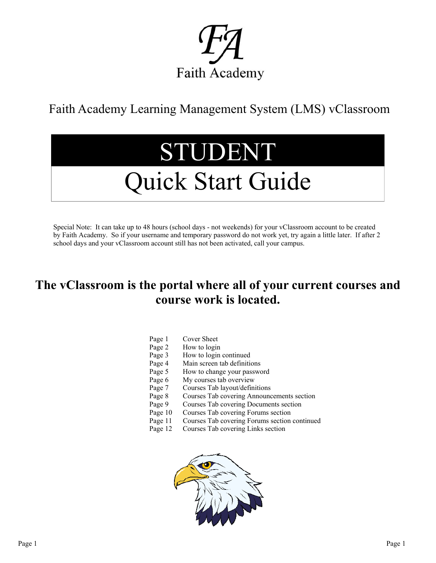

Faith Academy Learning Management System (LMS) vClassroom

## STUDENT

## Quick Start Guide

Special Note: It can take up to 48 hours (school days - not weekends) for your vClassroom account to be created by Faith Academy. So if your username and temporary password do not work yet, try again a little later. If after 2 school days and your vClassroom account still has not been activated, call your campus.

## **The vClassroom is the portal where all of your current courses and course work is located.**

| Page 1 | Cover Sheet |  |
|--------|-------------|--|
|        |             |  |

- Page 2 How to login
- Page 3 How to login continued
- Page 4 Main screen tab definitions
- Page 5 How to change your password
- Page 6 My courses tab overview
- Page 7 Courses Tab layout/definitions
- Page 8 Courses Tab covering Announcements section
- Page 9 Courses Tab covering Documents section
- Page 10 Courses Tab covering Forums section
- Page 11 Courses Tab covering Forums section continued
- Page 12 Courses Tab covering Links section

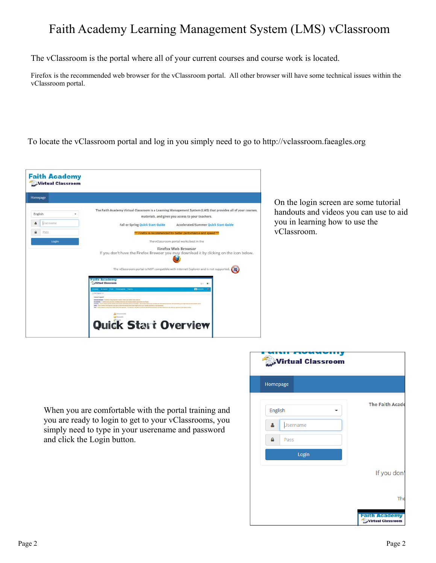## Faith Academy Learning Management System (LMS) vClassroom

The vClassroom is the portal where all of your current courses and course work is located.

Firefox is the recommended web browser for the vClassroom portal. All other browser will have some technical issues within the vClassroom portal.

To locate the vClassroom portal and log in you simply need to go to http://vclassroom.faeagles.org

| Homepage |                                                                                                                                                                                                                                                                                                                                                                                                                                                                                                                                |
|----------|--------------------------------------------------------------------------------------------------------------------------------------------------------------------------------------------------------------------------------------------------------------------------------------------------------------------------------------------------------------------------------------------------------------------------------------------------------------------------------------------------------------------------------|
| English  | The Faith Academy Virtual Classroom is a Learning Management System (LM5) that provides all of your courses.<br>materials, and gives you access to your teachers.                                                                                                                                                                                                                                                                                                                                                              |
| Isername | Fall or Spring Quick Start Guide<br>Accelerated/Summer Oulck Start Guide                                                                                                                                                                                                                                                                                                                                                                                                                                                       |
| Pass     | *** Firefox is recommended for better performance and speed ***                                                                                                                                                                                                                                                                                                                                                                                                                                                                |
| Login    | The vClassroom portal works best in the                                                                                                                                                                                                                                                                                                                                                                                                                                                                                        |
|          | Firefox Web Browser<br>If you don't have the Firefox Browser you may download it by clicking on the icon below.                                                                                                                                                                                                                                                                                                                                                                                                                |
|          | The vClassroom portal is NOT compatible with Internet Explorer and is not supported.                                                                                                                                                                                                                                                                                                                                                                                                                                           |
|          | <b>Faith Academy</b><br>Wirtual Classroom<br>近く 無く                                                                                                                                                                                                                                                                                                                                                                                                                                                                             |
|          | <b>Women From Processing Practice</b><br><b>Herewan</b><br>٠<br>ci: AA England S.A.                                                                                                                                                                                                                                                                                                                                                                                                                                            |
|          | Count Legend<br>Automobile - A school and low-hut areas, hold and alterio are placed                                                                                                                                                                                                                                                                                                                                                                                                                                           |
|          | <b>Documents</b> . In orders and advoted insulting material and meeting populations are found<br>Forester - This is where all the senate Decoration Devices (TCL are listed). This is also referre you can find the downtown family by the or<br>Links. This is silent by textiles campuse convice weight does that major and it cost tending anything of the approach.<br>a long-hand-antition lateral goal controls. This book has not positive to determine an outstand to book of those are now book or survive to be ones |
|          | <b>A</b> Avenuevas                                                                                                                                                                                                                                                                                                                                                                                                                                                                                                             |
|          | <b>UA Dalamento</b>                                                                                                                                                                                                                                                                                                                                                                                                                                                                                                            |

On the login screen are some tutorial handouts and videos you can use to aid you in learning how to use the vClassroom.

When you are comfortable with the portal training and you are ready to login to get to your vClassrooms, you simply need to type in your userename and password and click the Login button.

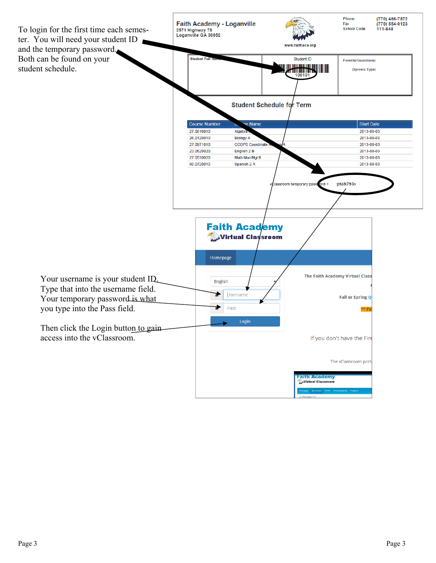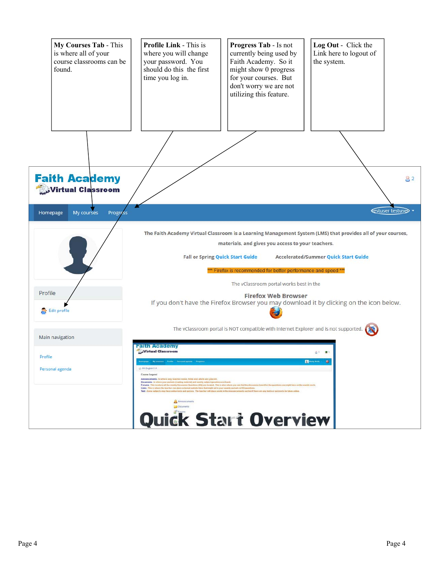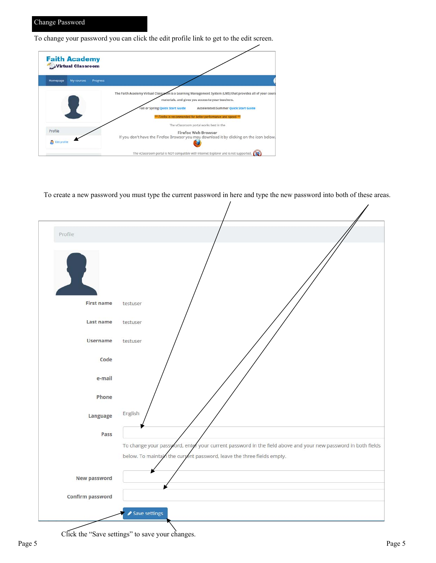To change your password you can click the edit profile link to get to the edit screen.



To create a new password you must type the current password in here and type the new password into both of these areas.



Click the "Save settings" to save your changes.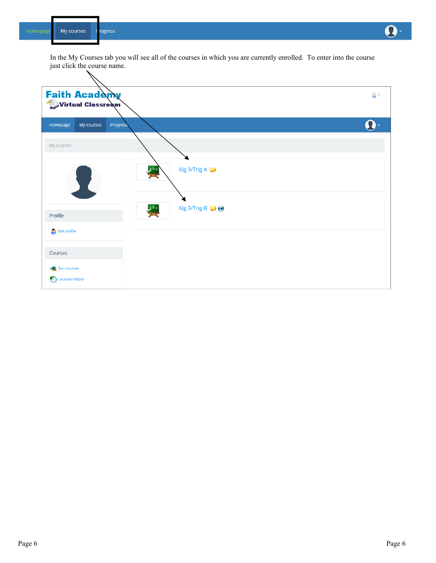![](_page_5_Figure_0.jpeg)

![](_page_5_Figure_2.jpeg)

 $\Omega$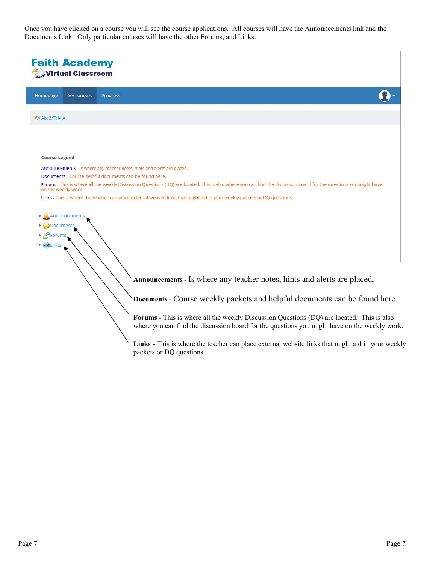Once you have clicked on a course you will see the course applications. All courses will have the Announcements link and the Documents Link. Only particular courses will have the other Forums, and Links.

| <b>Faith Academy</b><br><b>Wirtual Classroom</b>                                                                                                                                                                              |
|-------------------------------------------------------------------------------------------------------------------------------------------------------------------------------------------------------------------------------|
| Homepage<br>My courses<br>Progress                                                                                                                                                                                            |
| Ma Alg 3/Trig A                                                                                                                                                                                                               |
|                                                                                                                                                                                                                               |
| <b>Course Legend</b>                                                                                                                                                                                                          |
| Announcements - Is where any teacher notes, hints and alerts are placed.                                                                                                                                                      |
| Documents - Course helpful documents can be found here.<br>Forums - This is where all the weekly Discussion Questions (DQ) are located. This is also where you can find the discussion board for the questions you might have |
| on the weekly work.                                                                                                                                                                                                           |
| Links - This is where the teacher can place external website links that might aid in your weekly packets or DQ questions.                                                                                                     |
| • Announcements                                                                                                                                                                                                               |
| Documents                                                                                                                                                                                                                     |
| PForums                                                                                                                                                                                                                       |
| · <b>ALinks</b>                                                                                                                                                                                                               |
|                                                                                                                                                                                                                               |
|                                                                                                                                                                                                                               |
| Announcements - Is where any teacher notes, hints and alerts are placed.                                                                                                                                                      |
| Documents - Course weekly packets and helpful documents can be found here.                                                                                                                                                    |
| Forums - This is where all the weekly Discussion Questions (DQ) are located. This is also<br>where you can find the discussion board for the questions you might have on the weekly work.                                     |
| Links - This is where the teacher can place external website links that might aid in your weekly<br>packets or DQ questions.                                                                                                  |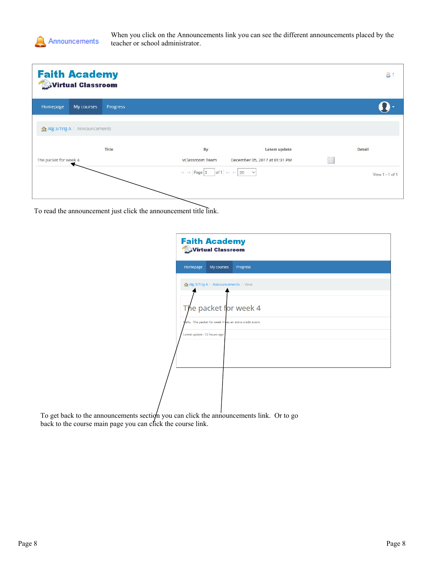![](_page_7_Picture_0.jpeg)

When you click on the Announcements link you can see the different announcements placed by the teacher or school administrator.

|                       | <b>Faith Academy</b><br>Virtual Classroom |          |                                                                                                                                                                                                                                                                                         |                               | 8               |
|-----------------------|-------------------------------------------|----------|-----------------------------------------------------------------------------------------------------------------------------------------------------------------------------------------------------------------------------------------------------------------------------------------|-------------------------------|-----------------|
| Homepage              | My courses                                | Progress |                                                                                                                                                                                                                                                                                         |                               |                 |
|                       | Alg 3/Trig A / Announcements              |          |                                                                                                                                                                                                                                                                                         |                               |                 |
|                       |                                           | Title    | By                                                                                                                                                                                                                                                                                      | Latest update                 | Detail          |
| The packet for week 4 |                                           |          | vClassroom Team                                                                                                                                                                                                                                                                         | December 05, 2017 at 01:31 PM |                 |
|                       |                                           |          | $\left\vert \begin{array}{ccc} \mathbb{N} & \mathbb{N} \end{array} \right\vert$ Page $\left\vert 1-\left\vert \begin{array}{ccc} \mathsf{of} \, 1 & \mathbb{N} & \mathbb{N} \end{array} \right\vert$ 20 $\left\vert \begin{array}{ccc} \mathbb{N} & \mathbb{N} \end{array} \right\vert$ |                               | View 1 - 1 of 1 |

To read the announcement just click the announcement title link.

| <b>Faith Academy</b>        | Virtual Classroom                                       |          |  |  |
|-----------------------------|---------------------------------------------------------|----------|--|--|
| Homepage                    | My courses                                              | Progress |  |  |
|                             | Alg 3/Trig A / Announcements / View                     |          |  |  |
|                             | The packet for week 4                                   |          |  |  |
|                             | hello, The packet for week 4 has an extra credit event. |          |  |  |
| Latest update: 12 hours ago |                                                         |          |  |  |
|                             |                                                         |          |  |  |
|                             |                                                         |          |  |  |
|                             |                                                         |          |  |  |

To get back to the announcements section you can click the announcements link. Or to go back to the course main page you can click the course link.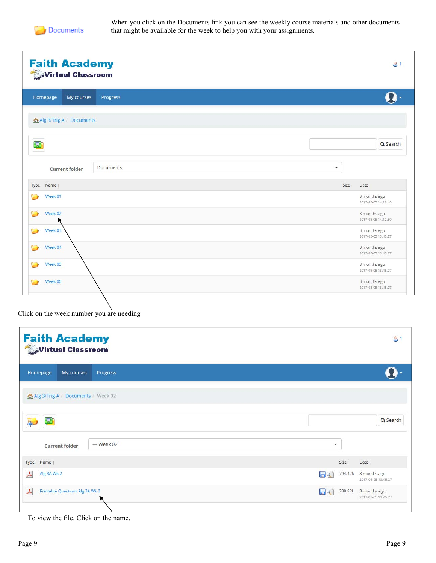![](_page_8_Picture_0.jpeg)

When you click on the Documents link you can see the weekly course materials and other documents that might be available for the week to help you with your assignments.

| <b>Faith Academy</b><br>Virtual Classroom | 81                                  |
|-------------------------------------------|-------------------------------------|
| My courses<br>Homepage<br>Progress        |                                     |
| 企 Alg 3/Trig A / Documents                |                                     |
| O                                         | Q Search                            |
| <b>Documents</b><br><b>Current folder</b> | $\overline{\phantom{a}}$            |
| Type Name L                               | Size<br>Date                        |
| Week 01                                   | 3 months ago<br>2017-09-05 14:10:40 |
| Week 02                                   | 3 months ago<br>2017-09-05 14:12:30 |
| Week 03                                   | 3 months ago<br>2017-09-05 13:45:27 |
| Week 04                                   | 3 months ago<br>2017-09-05 13:45:27 |
|                                           | 3 months ago                        |
| Week 05                                   | 2017-09-05 13:45:27                 |

Click on the week number you are needing

| <b>Faith Academy</b><br>Virtual Classroom    | 8                                                        |
|----------------------------------------------|----------------------------------------------------------|
| Homepage<br>My courses<br>Progress           |                                                          |
| Alg 3/Trig A / Documents / Week 02           |                                                          |
|                                              | Q Search                                                 |
| - Week 02<br><b>Current folder</b>           | $\overline{\phantom{a}}$                                 |
| Type Name !                                  | Size<br>Date                                             |
| Alg 3A Wk 2<br>$\lambda$                     | 794.42k<br>3 months ago<br>$\Box$<br>2017-09-05 13:45:27 |
| $\lambda$<br>Printable Questions Alg 3A Wk 2 | $\Box$<br>289.82k 3 months ago<br>2017-09-05 13:45:27    |

To view the file. Click on the name.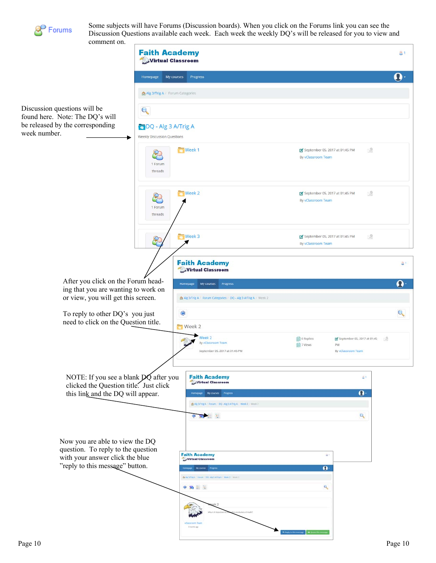![](_page_9_Picture_0.jpeg)

Some subjects will have Forums (Discussion boards). When you click on the Forums link you can see the Discussion Questions available each week. Each week the weekly DQ's will be released for you to view and comment on.

![](_page_9_Picture_2.jpeg)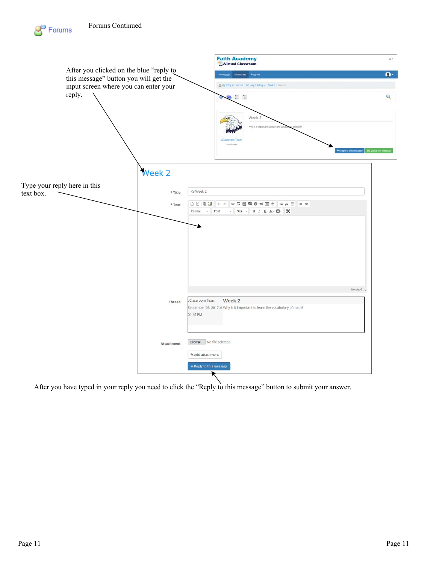![](_page_10_Figure_1.jpeg)

After you have typed in your reply you need to click the "Reply to this message" button to submit your answer.